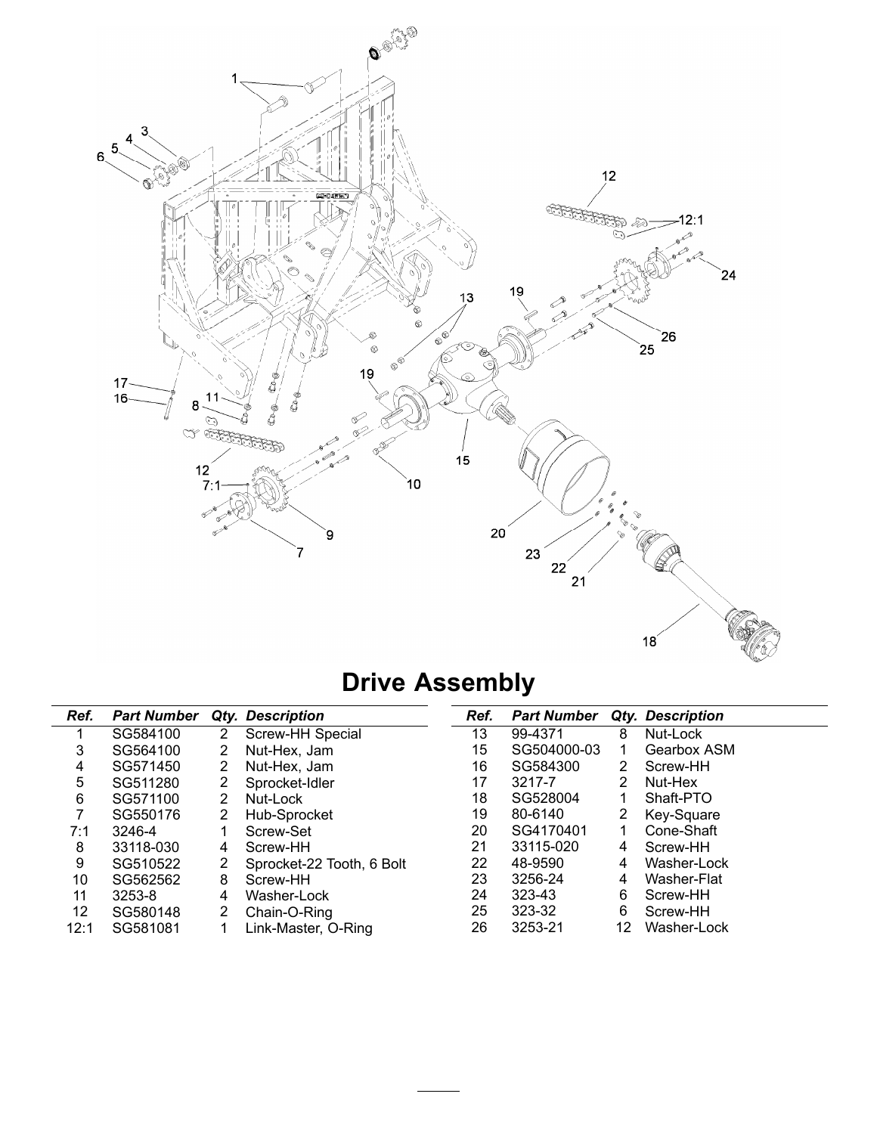

# **Drive Assembly**

| Ref. | <b>Part Number</b> |   | Qty. Description          | Ref. | <b>Part Number</b> |    | Qty. Description |
|------|--------------------|---|---------------------------|------|--------------------|----|------------------|
|      | SG584100           | 2 | Screw-HH Special          | 13   | 99-4371            | 8  | Nut-Lock         |
| 3    | SG564100           | 2 | Nut-Hex, Jam              | 15   | SG504000-03        |    | Gearbox ASM      |
| 4    | SG571450           | 2 | Nut-Hex, Jam              | 16   | SG584300           | 2  | Screw-HH         |
| 5    | SG511280           | 2 | Sprocket-Idler            | 17   | 3217-7             | 2  | Nut-Hex          |
| 6    | SG571100           | 2 | Nut-Lock                  | 18   | SG528004           |    | Shaft-PTO        |
|      | SG550176           | 2 | Hub-Sprocket              | 19   | 80-6140            | 2  | Key-Square       |
| 7:1  | 3246-4             |   | Screw-Set                 | 20   | SG4170401          |    | Cone-Shaft       |
| 8    | 33118-030          | 4 | Screw-HH                  | 21   | 33115-020          | 4  | Screw-HH         |
| 9    | SG510522           | 2 | Sprocket-22 Tooth, 6 Bolt | 22   | 48-9590            | 4  | Washer-Lock      |
| 10   | SG562562           | 8 | Screw-HH                  | 23   | 3256-24            | 4  | Washer-Flat      |
| 11   | 3253-8             | 4 | Washer-Lock               | 24   | 323-43             | 6  | Screw-HH         |
| 12   | SG580148           | 2 | Chain-O-Ring              | 25   | 323-32             | 6  | Screw-HH         |
| 12:1 | SG581081           |   | Link-Master, O-Ring       | 26   | 3253-21            | 12 | Washer-Lock      |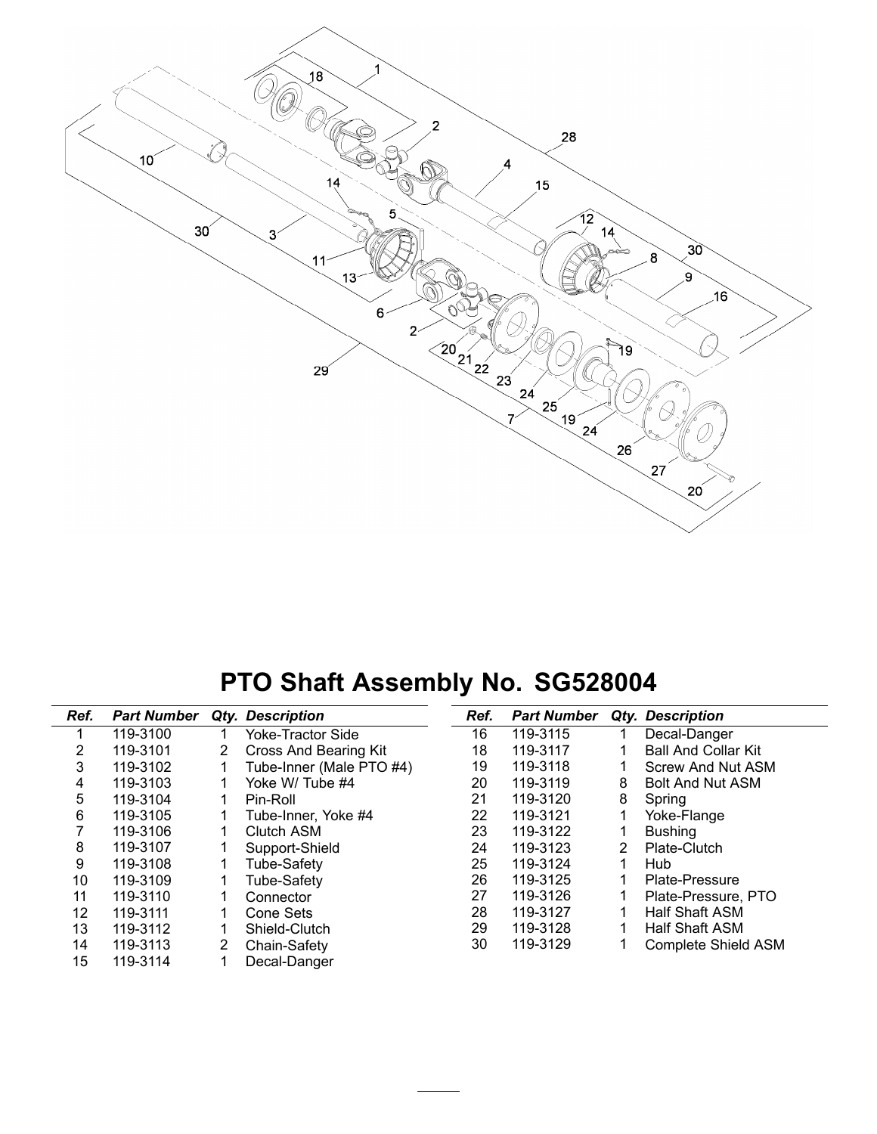

#### **PTO Shaft Assembly No. SG528004**

| Ref. | <b>Part Number</b> |    | Qty. Description             | Ref. | <b>Part Number</b> |   | Qty. Description           |
|------|--------------------|----|------------------------------|------|--------------------|---|----------------------------|
|      | 119-3100           |    | <b>Yoke-Tractor Side</b>     | 16   | 119-3115           |   | Decal-Danger               |
| 2    | 119-3101           | 2. | <b>Cross And Bearing Kit</b> | 18   | 119-3117           |   | <b>Ball And Collar Kit</b> |
| 3    | 119-3102           |    | Tube-Inner (Male PTO #4)     | 19   | 119-3118           |   | Screw And Nut ASM          |
| 4    | 119-3103           |    | Yoke W/ Tube #4              | 20   | 119-3119           | 8 | <b>Bolt And Nut ASM</b>    |
| 5    | 119-3104           |    | Pin-Roll                     | 21   | 119-3120           | 8 | Spring                     |
| 6    | 119-3105           |    | Tube-Inner, Yoke #4          | 22   | 119-3121           |   | Yoke-Flange                |
| 7    | 119-3106           |    | Clutch ASM                   | 23   | 119-3122           |   | <b>Bushing</b>             |
| 8    | 119-3107           |    | Support-Shield               | 24   | 119-3123           | 2 | Plate-Clutch               |
| 9    | 119-3108           |    | <b>Tube-Safety</b>           | 25   | 119-3124           |   | Hub                        |
| 10   | 119-3109           |    | <b>Tube-Safety</b>           | 26   | 119-3125           |   | Plate-Pressure             |
| 11   | 119-3110           |    | Connector                    | 27   | 119-3126           |   | Plate-Pressure, PTO        |
| 12   | 119-3111           |    | Cone Sets                    | 28   | 119-3127           |   | <b>Half Shaft ASM</b>      |
| 13   | 119-3112           |    | Shield-Clutch                | 29   | 119-3128           |   | Half Shaft ASM             |
| 14   | 119-3113           | 2  | Chain-Safety                 | 30   | 119-3129           |   | <b>Complete Shield ASM</b> |
| 15   | 119-3114           |    | Decal-Danger                 |      |                    |   |                            |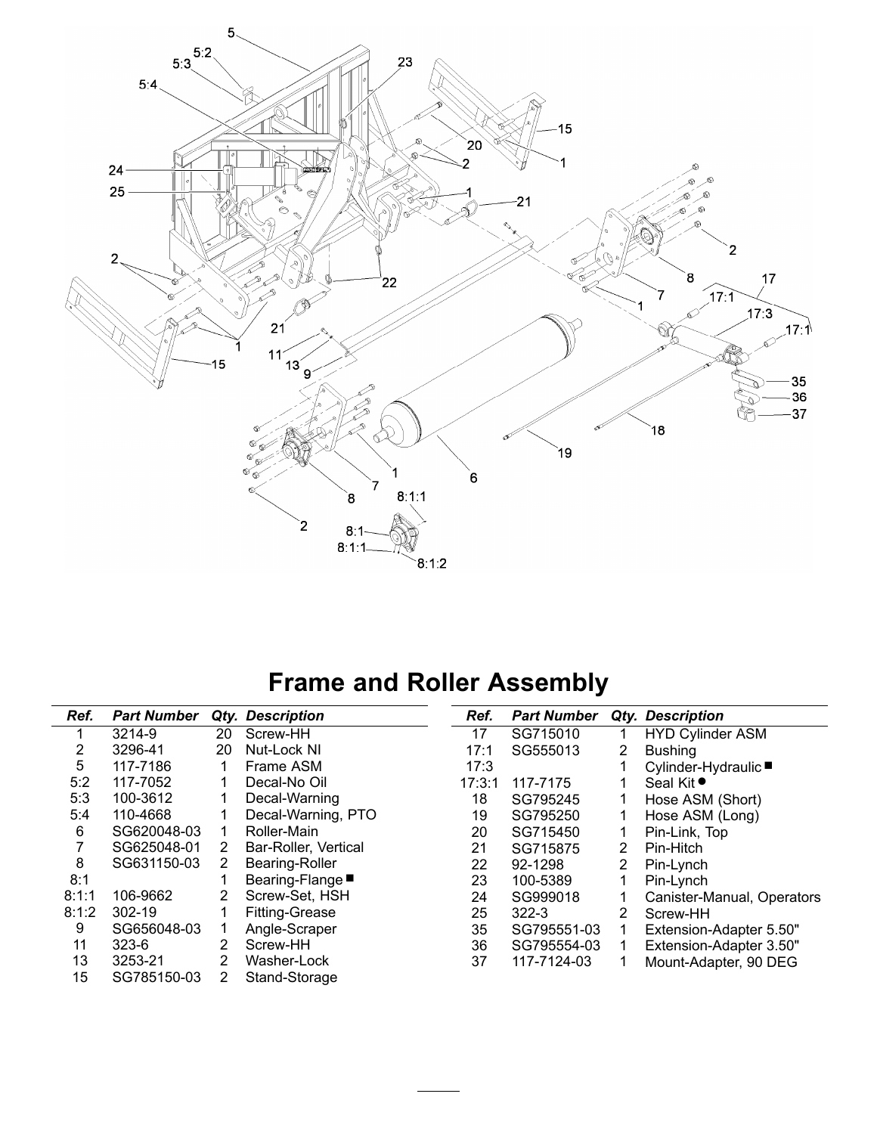

#### **Frame and Roller Assembly**

| Ref.  | <b>Part Number</b> |    | <b>Qty. Description</b> | Ref.   | <b>Part Number</b> |   | Qty. Description           |
|-------|--------------------|----|-------------------------|--------|--------------------|---|----------------------------|
|       | 3214-9             | 20 | Screw-HH                | 17     | SG715010           |   | <b>HYD Cylinder ASM</b>    |
| 2     | 3296-41            | 20 | Nut-Lock NI             | 17:1   | SG555013           | 2 | <b>Bushing</b>             |
| 5     | 117-7186           |    | Frame ASM               | 17:3   |                    |   | Cylinder-Hydraulic ■       |
| 5:2   | 117-7052           |    | Decal-No Oil            | 17:3:1 | 117-7175           |   | Seal Kit ●                 |
| 5:3   | 100-3612           |    | Decal-Warning           | 18     | SG795245           |   | Hose ASM (Short)           |
| 5:4   | 110-4668           |    | Decal-Warning, PTO      | 19     | SG795250           |   | Hose ASM (Long)            |
| 6     | SG620048-03        |    | Roller-Main             | 20     | SG715450           |   | Pin-Link, Top              |
| 7     | SG625048-01        | 2  | Bar-Roller, Vertical    | 21     | SG715875           | 2 | Pin-Hitch                  |
| 8     | SG631150-03        | 2  | Bearing-Roller          | 22     | 92-1298            | 2 | Pin-Lynch                  |
| 8:1   |                    |    | Bearing-Flange■         | 23     | 100-5389           |   | Pin-Lynch                  |
| 8:1:1 | 106-9662           | 2  | Screw-Set, HSH          | 24     | SG999018           |   | Canister-Manual, Operators |
| 8:1:2 | 302-19             |    | <b>Fitting-Grease</b>   | 25     | $322 - 3$          | 2 | Screw-HH                   |
| 9     | SG656048-03        |    | Angle-Scraper           | 35     | SG795551-03        |   | Extension-Adapter 5.50"    |
| 11    | $323 - 6$          | 2  | Screw-HH                | 36     | SG795554-03        |   | Extension-Adapter 3.50"    |
| 13    | 3253-21            | 2  | Washer-Lock             | 37     | 117-7124-03        |   | Mount-Adapter, 90 DEG      |
| 15    | SG785150-03        | 2  | Stand-Storage           |        |                    |   |                            |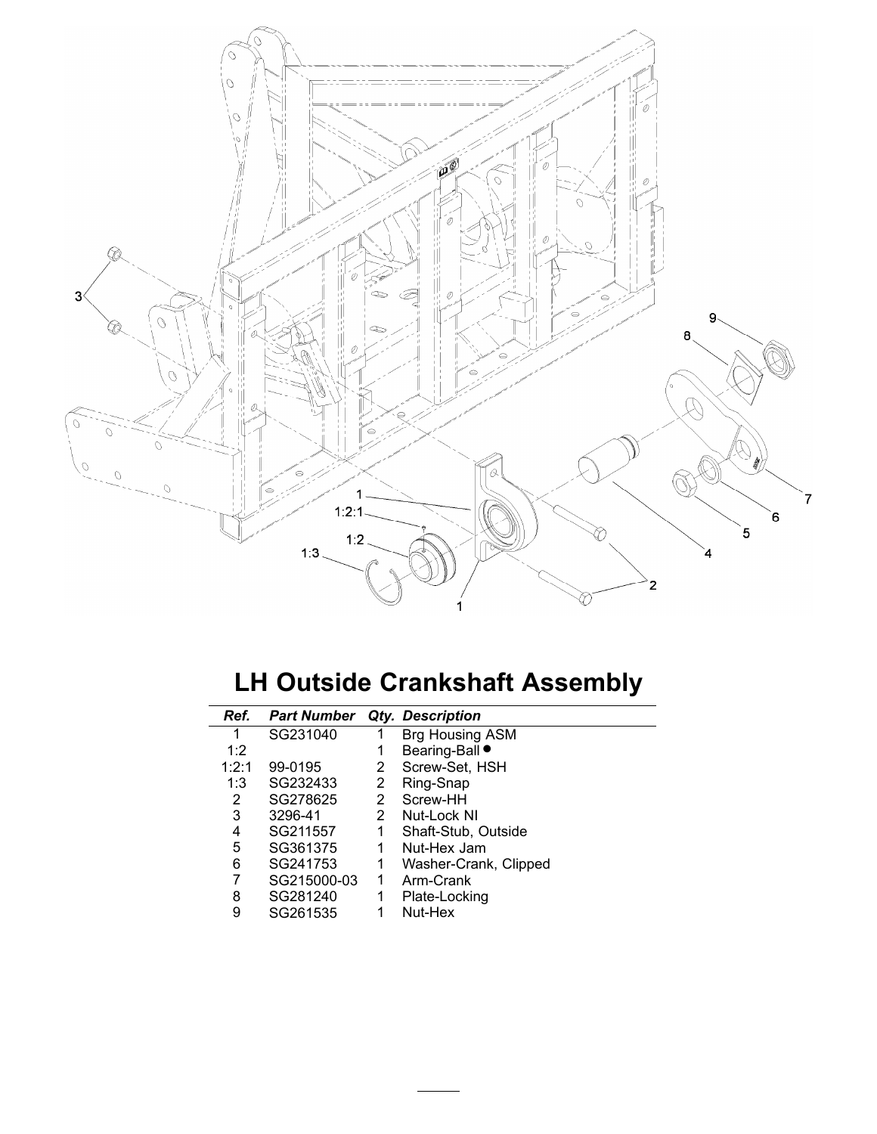

#### **LH Outside Crankshaft Assembly**

| Ref.  | <b>Part Number</b> |              | Qty. Description      |
|-------|--------------------|--------------|-----------------------|
| 1     | SG231040           |              | Brg Housing ASM       |
| 1:2   |                    | 1            | Bearing-Ball          |
| 1:2:1 | 99-0195            | 2            | Screw-Set, HSH        |
| 1:3   | SG232433           | 2            | Ring-Snap             |
| 2     | SG278625           | $\mathbf{2}$ | Screw-HH              |
| 3     | 3296-41            | $\mathbf{2}$ | Nut-Lock NI           |
| 4     | SG211557           | 1            | Shaft-Stub, Outside   |
| 5     | SG361375           | 1.           | Nut-Hex Jam           |
| 6     | SG241753           | 1            | Washer-Crank, Clipped |
| 7     | SG215000-03        | 1            | Arm-Crank             |
| 8     | SG281240           | 1            | Plate-Locking         |
| 9     | SG261535           |              | Nut-Hex               |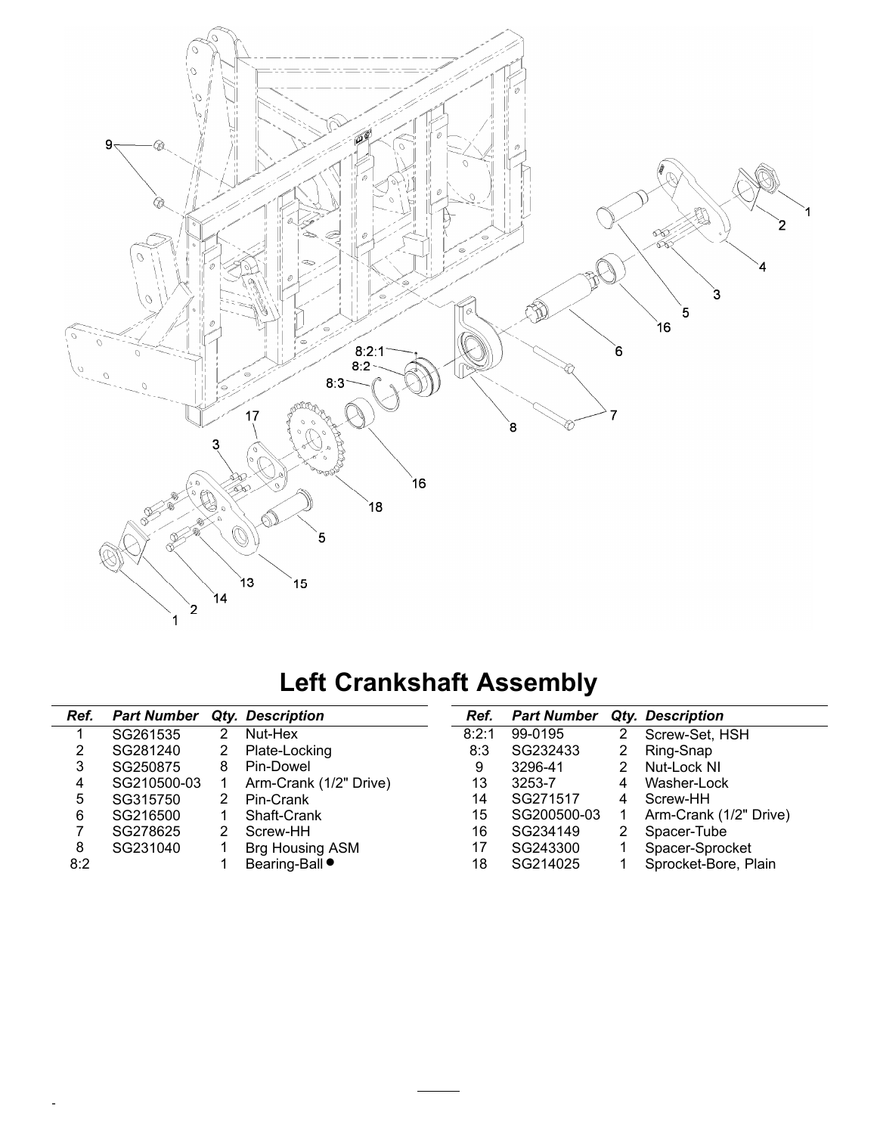

# **Left Crankshaft Assembly**

| Ref. | <b>Part Number</b> |   | Qty. Description       | Ref.  | <b>Part Number</b> |   | Qty. Description       |
|------|--------------------|---|------------------------|-------|--------------------|---|------------------------|
|      | SG261535           | 2 | Nut-Hex                | 8:2:1 | 99-0195            |   | Screw-Set, HSH         |
| 2    | SG281240           | 2 | Plate-Locking          | 8:3   | SG232433           |   | Ring-Snap              |
| 3    | SG250875           | 8 | Pin-Dowel              | 9     | 3296-41            |   | Nut-Lock NI            |
| 4    | SG210500-03        |   | Arm-Crank (1/2" Drive) | 13    | 3253-7             | 4 | Washer-Lock            |
| 5    | SG315750           | 2 | Pin-Crank              | 14    | SG271517           |   | Screw-HH               |
| 6    | SG216500           |   | Shaft-Crank            | 15    | SG200500-03        |   | Arm-Crank (1/2" Drive) |
|      | SG278625           |   | Screw-HH               | 16    | SG234149           |   | Spacer-Tube            |
| 8    | SG231040           |   | Brg Housing ASM        | 17    | SG243300           |   | Spacer-Sprocket        |
| 8:2  |                    |   | Bearing-Ball $\bullet$ | 18    | SG214025           |   | Sprocket-Bore, Plain   |

-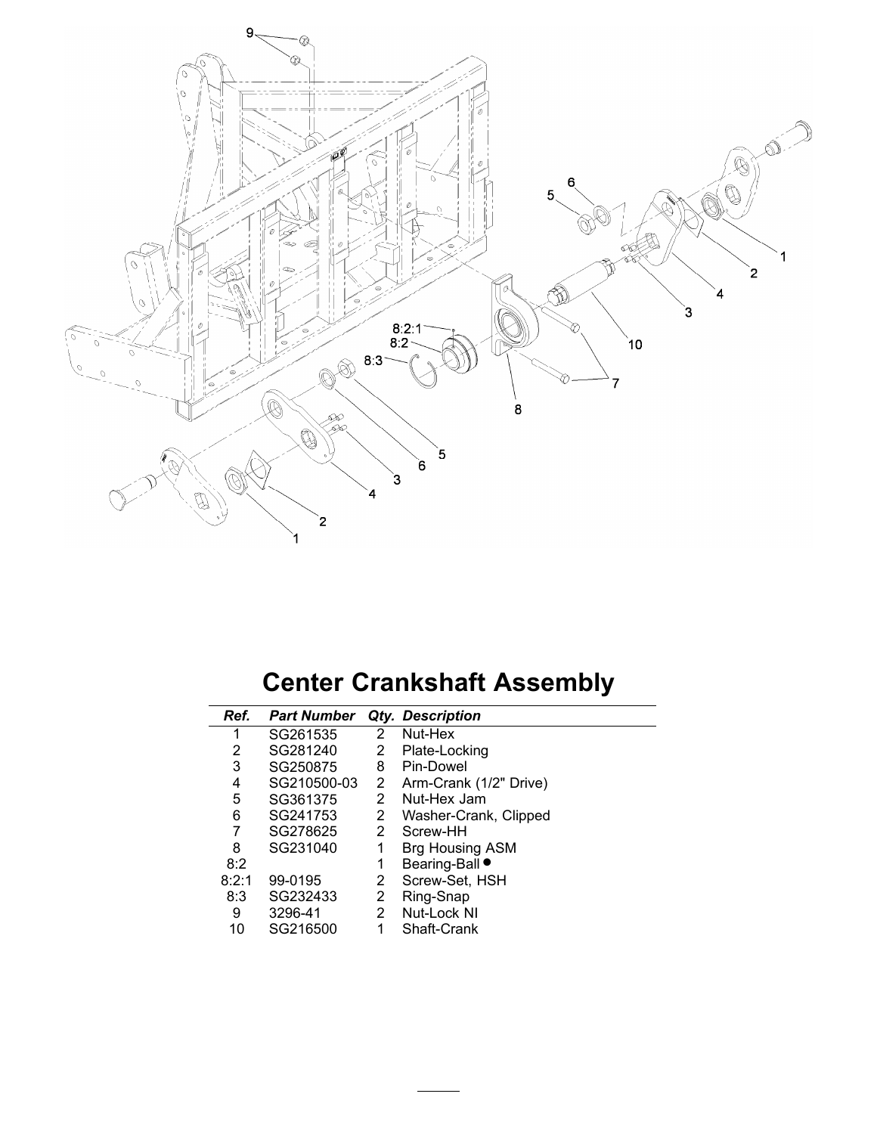

# **Center Crankshaft Assembly**

| Ref.  | <b>Part Number</b> |                | Qty. Description       |
|-------|--------------------|----------------|------------------------|
|       | SG261535           | 2              | Nut-Hex                |
| 2     | SG281240           | 2              | Plate-Locking          |
| 3     | SG250875           | 8              | Pin-Dowel              |
| 4     | SG210500-03        | 2              | Arm-Crank (1/2" Drive) |
| 5     | SG361375           | 2              | Nut-Hex Jam            |
| 6     | SG241753           | $\overline{2}$ | Washer-Crank, Clipped  |
| 7     | SG278625           | 2              | Screw-HH               |
| 8     | SG231040           | 1              | <b>Brg Housing ASM</b> |
| 8:2   |                    | 1              | Bearing-Ball ●         |
| 8:2:1 | 99-0195            | 2              | Screw-Set, HSH         |
| 8:3   | SG232433           | 2              | Ring-Snap              |
| 9     | 3296-41            | 2              | Nut-Lock NI            |
| 10    | SG216500           |                | Shaft-Crank            |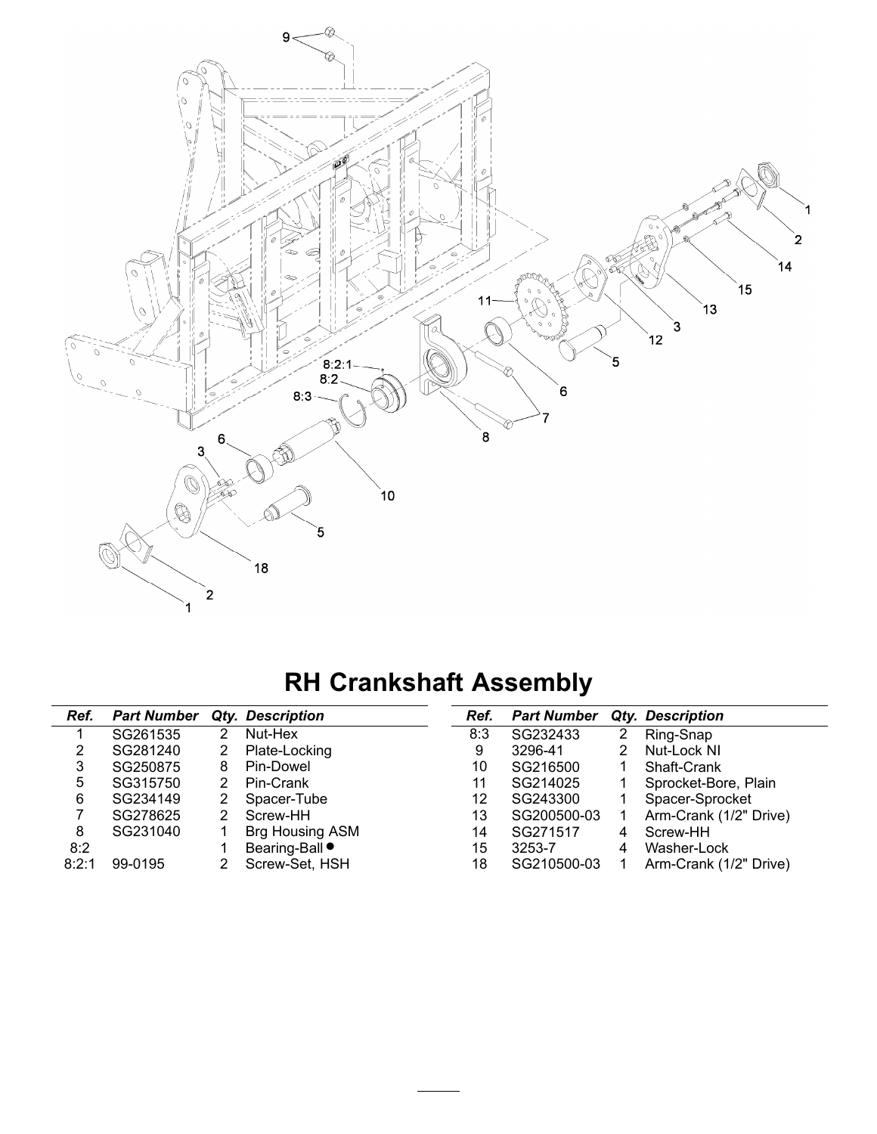

# **RH Crankshaft Assembly**

| Ref.  | <b>Part Number</b> |   | Qty. Description       | Ref. | <b>Part Number</b> |   | <b>Qty. Description</b> |
|-------|--------------------|---|------------------------|------|--------------------|---|-------------------------|
|       | SG261535           | 2 | Nut-Hex                | 8:3  | SG232433           | 2 | Ring-Snap               |
| 2     | SG281240           | 2 | Plate-Locking          | 9    | 3296-41            |   | Nut-Lock NI             |
| 3     | SG250875           | 8 | Pin-Dowel              | 10   | SG216500           |   | Shaft-Crank             |
| 5     | SG315750           | 2 | Pin-Crank              | 11   | SG214025           |   | Sprocket-Bore, Plain    |
| 6     | SG234149           | 2 | Spacer-Tube            | 12   | SG243300           |   | Spacer-Sprocket         |
|       | SG278625           | 2 | Screw-HH               | 13   | SG200500-03        |   | Arm-Crank (1/2" Drive)  |
| 8     | SG231040           |   | Brg Housing ASM        | 14   | SG271517           | 4 | Screw-HH                |
| 8:2   |                    |   | Bearing-Ball $\bullet$ | 15   | 3253-7             | 4 | Washer-Lock             |
| 8:2:1 | 99-0195            |   | Screw-Set, HSH         | 18   | SG210500-03        |   | Arm-Crank (1/2" Drive)  |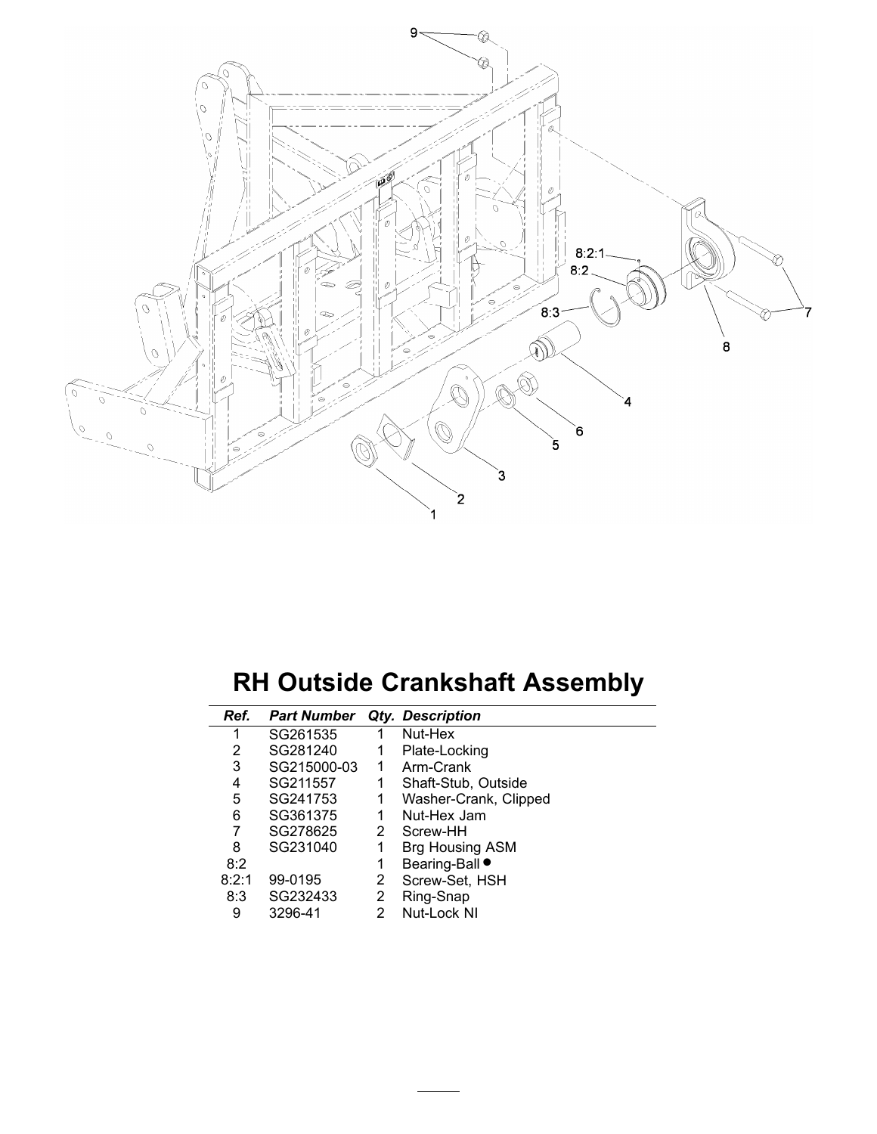

#### **RH Outside Crankshaft Assembly**

| Ref.  | <b>Part Number</b> |   | <b>Qty. Description</b> |
|-------|--------------------|---|-------------------------|
| 1     | SG261535           | 1 | Nut-Hex                 |
| 2     | SG281240           |   | Plate-Locking           |
| 3     | SG215000-03        | 1 | Arm-Crank               |
| 4     | SG211557           | 1 | Shaft-Stub, Outside     |
| 5     | SG241753           | 1 | Washer-Crank, Clipped   |
| 6     | SG361375           | 1 | Nut-Hex Jam             |
| 7     | SG278625           | 2 | Screw-HH                |
| 8     | SG231040           | 1 | <b>Brg Housing ASM</b>  |
| 8:2   |                    | 1 | Bearing-Ball ●          |
| 8:2:1 | 99-0195            | 2 | Screw-Set, HSH          |
| 8:3   | SG232433           | 2 | Ring-Snap               |
| 9     | 3296-41            | 2 | Nut-Lock NI             |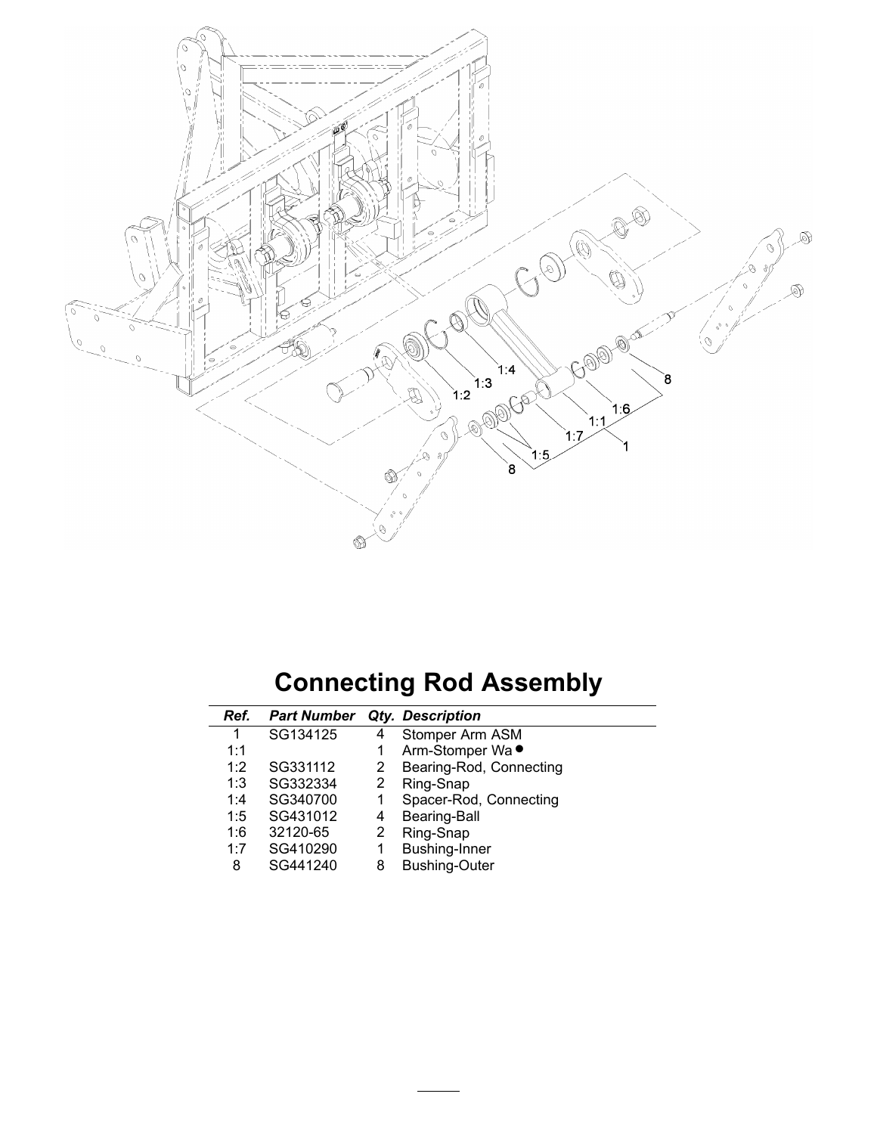

# **Connecting Rod Assembly**

| Ref. | <b>Part Number</b> |   | <b>Qty. Description</b> |
|------|--------------------|---|-------------------------|
| 1    | SG134125           | 4 | Stomper Arm ASM         |
| 1:1  |                    |   | Arm-Stomper Wa ●        |
| 1:2  | SG331112           | 2 | Bearing-Rod, Connecting |
| 1:3  | SG332334           | 2 | Ring-Snap               |
| 1:4  | SG340700           |   | Spacer-Rod, Connecting  |
| 1:5  | SG431012           | 4 | <b>Bearing-Ball</b>     |
| 1:6  | 32120-65           | 2 | Ring-Snap               |
| 1:7  | SG410290           |   | Bushing-Inner           |
| 8    | SG441240           | 8 | <b>Bushing-Outer</b>    |